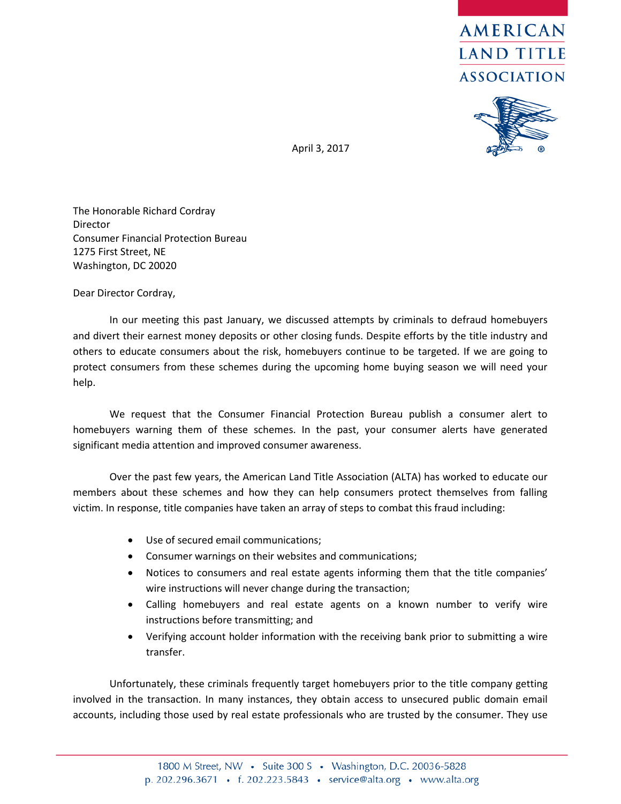



April 3, 2017

The Honorable Richard Cordray Director Consumer Financial Protection Bureau 1275 First Street, NE Washington, DC 20020

Dear Director Cordray,

In our meeting this past January, we discussed attempts by criminals to defraud homebuyers and divert their earnest money deposits or other closing funds. Despite efforts by the title industry and others to educate consumers about the risk, homebuyers continue to be targeted. If we are going to protect consumers from these schemes during the upcoming home buying season we will need your help.

We request that the Consumer Financial Protection Bureau publish a consumer alert to homebuyers warning them of these schemes. In the past, your consumer alerts have generated significant media attention and improved consumer awareness.

Over the past few years, the American Land Title Association (ALTA) has worked to educate our members about these schemes and how they can help consumers protect themselves from falling victim. In response, title companies have taken an array of steps to combat this fraud including:

- Use of secured email communications;
- Consumer warnings on their websites and communications;
- Notices to consumers and real estate agents informing them that the title companies' wire instructions will never change during the transaction;
- Calling homebuyers and real estate agents on a known number to verify wire instructions before transmitting; and
- Verifying account holder information with the receiving bank prior to submitting a wire transfer.

Unfortunately, these criminals frequently target homebuyers prior to the title company getting involved in the transaction. In many instances, they obtain access to unsecured public domain email accounts, including those used by real estate professionals who are trusted by the consumer. They use